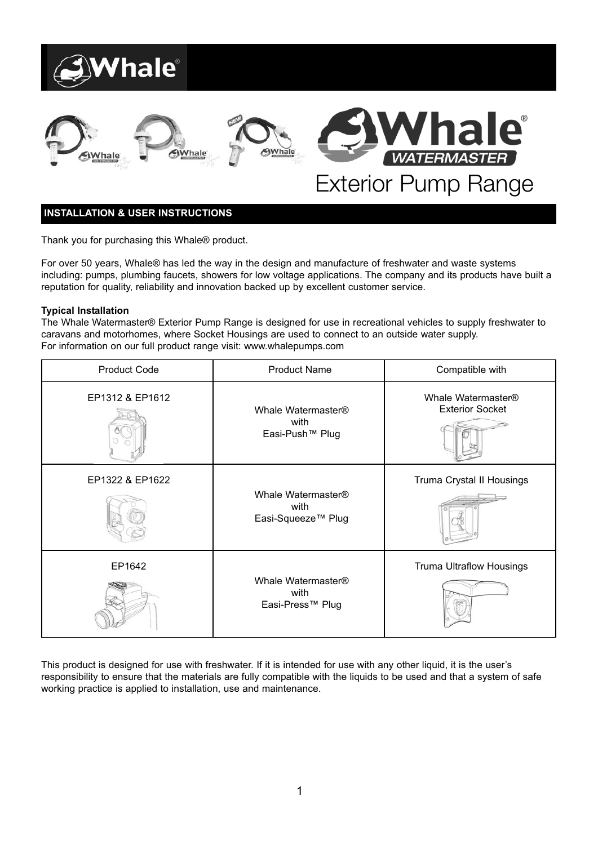



# Ie® **WATERMASTER** Exterior Pump Range

# **INSTALLATION & USER INSTRUCTIONS**

Thank you for purchasing this Whale® product.

For over 50 years, Whale® has led the way in the design and manufacture of freshwater and waste systems including: pumps, plumbing faucets, showers for low voltage applications. The company and its products have built a reputation for quality, reliability and innovation backed up by excellent customer service.

# **Typical Installation**

The Whale Watermaster® Exterior Pump Range is designed for use in recreational vehicles to supply freshwater to caravans and motorhomes, where Socket Housings are used to connect to an outside water supply. For information on our full product range visit: www.whalepumps.com

| <b>Product Code</b> | <b>Product Name</b>                                          | Compatible with                              |
|---------------------|--------------------------------------------------------------|----------------------------------------------|
| EP1312 & EP1612     | Whale Watermaster®<br>with<br>Easi-Push <sup>™</sup> Plug    | Whale Watermaster®<br><b>Exterior Socket</b> |
| EP1322 & EP1622     | Whale Watermaster®<br>with<br>Easi-Squeeze <sup>™</sup> Plug | Truma Crystal II Housings                    |
| EP1642              | Whale Watermaster®<br>with<br>Easi-Press™ Plug               | Truma Ultraflow Housings                     |

This product is designed for use with freshwater. If it is intended for use with any other liquid, it is the user's responsibility to ensure that the materials are fully compatible with the liquids to be used and that a system of safe working practice is applied to installation, use and maintenance.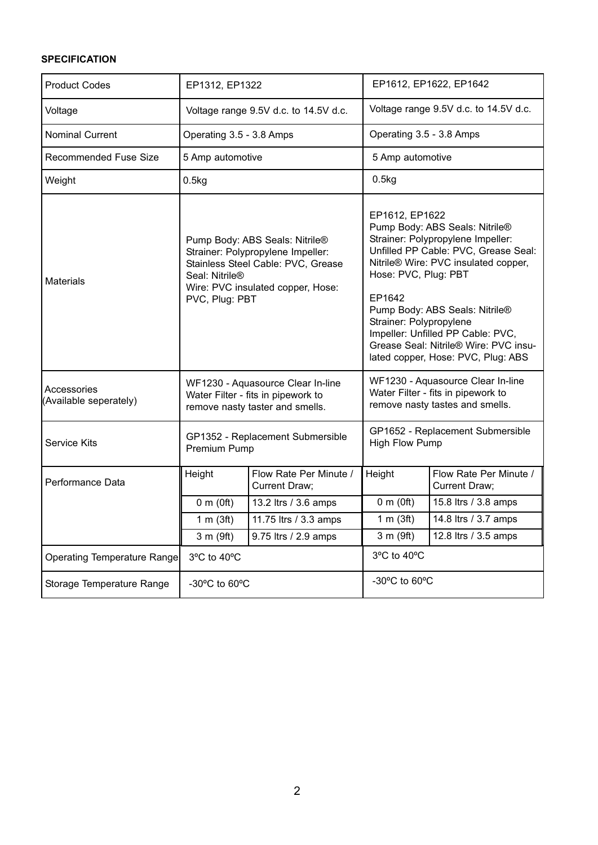# **SPECIFICATION**

| <b>Product Codes</b>                  | EP1312, EP1322                                                                                                                                                                     |                                                | EP1612, EP1622, EP1642                                                                                                                                                                                                                                                                                                                                                                   |                                                                                                            |
|---------------------------------------|------------------------------------------------------------------------------------------------------------------------------------------------------------------------------------|------------------------------------------------|------------------------------------------------------------------------------------------------------------------------------------------------------------------------------------------------------------------------------------------------------------------------------------------------------------------------------------------------------------------------------------------|------------------------------------------------------------------------------------------------------------|
| Voltage                               | Voltage range 9.5V d.c. to 14.5V d.c.                                                                                                                                              |                                                | Voltage range 9.5V d.c. to 14.5V d.c.                                                                                                                                                                                                                                                                                                                                                    |                                                                                                            |
| <b>Nominal Current</b>                | Operating 3.5 - 3.8 Amps                                                                                                                                                           |                                                | Operating 3.5 - 3.8 Amps                                                                                                                                                                                                                                                                                                                                                                 |                                                                                                            |
| Recommended Fuse Size                 | 5 Amp automotive                                                                                                                                                                   |                                                | 5 Amp automotive                                                                                                                                                                                                                                                                                                                                                                         |                                                                                                            |
| Weight                                | 0.5kg                                                                                                                                                                              |                                                | 0.5kg                                                                                                                                                                                                                                                                                                                                                                                    |                                                                                                            |
| <b>Materials</b>                      | Pump Body: ABS Seals: Nitrile®<br>Strainer: Polypropylene Impeller:<br>Stainless Steel Cable: PVC, Grease<br>Seal: Nitrile®<br>Wire: PVC insulated copper, Hose:<br>PVC, Plug: PBT |                                                | EP1612, EP1622<br>Pump Body: ABS Seals: Nitrile®<br>Strainer: Polypropylene Impeller:<br>Unfilled PP Cable: PVC, Grease Seal:<br>Nitrile® Wire: PVC insulated copper,<br>Hose: PVC, Plug: PBT<br>EP1642<br>Pump Body: ABS Seals: Nitrile®<br>Strainer: Polypropylene<br>Impeller: Unfilled PP Cable: PVC,<br>Grease Seal: Nitrile® Wire: PVC insu-<br>lated copper, Hose: PVC, Plug: ABS |                                                                                                            |
| Accessories<br>(Available seperately) | WF1230 - Aquasource Clear In-line<br>Water Filter - fits in pipework to<br>remove nasty taster and smells.                                                                         |                                                |                                                                                                                                                                                                                                                                                                                                                                                          | WF1230 - Aquasource Clear In-line<br>Water Filter - fits in pipework to<br>remove nasty tastes and smells. |
| Service Kits                          | GP1352 - Replacement Submersible<br>Premium Pump                                                                                                                                   |                                                | High Flow Pump                                                                                                                                                                                                                                                                                                                                                                           | GP1652 - Replacement Submersible                                                                           |
| Performance Data                      | Height                                                                                                                                                                             | Flow Rate Per Minute /<br><b>Current Draw:</b> | Height                                                                                                                                                                                                                                                                                                                                                                                   | Flow Rate Per Minute /<br>Current Draw:                                                                    |
|                                       | 0 m(0ft)                                                                                                                                                                           | 13.2 ltrs / 3.6 amps                           | $0 \text{ m}$ (Oft)                                                                                                                                                                                                                                                                                                                                                                      | 15.8 ltrs / 3.8 amps                                                                                       |
|                                       | 1 m (3ft)                                                                                                                                                                          | 11.75 ltrs / 3.3 amps                          | 1 m $(3ft)$                                                                                                                                                                                                                                                                                                                                                                              | 14.8 ltrs / 3.7 amps                                                                                       |
|                                       | 3 m (9ft)                                                                                                                                                                          | 9.75 ltrs / 2.9 amps                           | 3 m (9ft)                                                                                                                                                                                                                                                                                                                                                                                | 12.8 ltrs / 3.5 amps                                                                                       |
| Operating Temperature Range           | 3°C to 40°C                                                                                                                                                                        |                                                | 3°C to 40°C                                                                                                                                                                                                                                                                                                                                                                              |                                                                                                            |
| Storage Temperature Range             | $-30^{\circ}$ C to 60 $^{\circ}$ C                                                                                                                                                 |                                                | -30°C to 60°C                                                                                                                                                                                                                                                                                                                                                                            |                                                                                                            |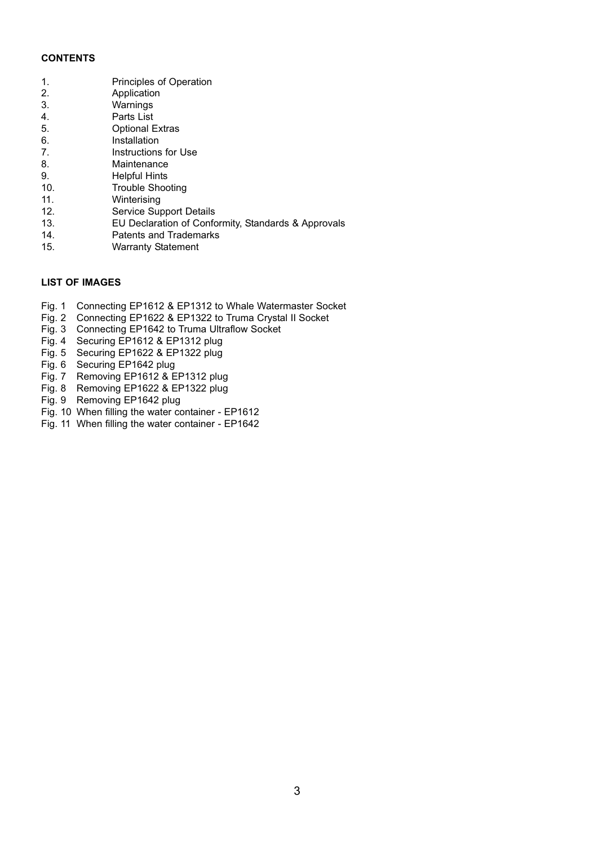#### **CONTENTS**

| 1.  | <b>Principles of Operation</b>                      |
|-----|-----------------------------------------------------|
| 2.  | Application                                         |
| 3.  | Warnings                                            |
| 4.  | Parts List                                          |
| 5.  | <b>Optional Extras</b>                              |
| 6.  | Installation                                        |
| 7.  | Instructions for Use                                |
| 8.  | Maintenance                                         |
| 9.  | Helpful Hints                                       |
| 10. | Trouble Shooting                                    |
| 11. | Winterising                                         |
| 12. | Service Support Details                             |
| 13. | EU Declaration of Conformity, Standards & Approvals |
| 14. | Patents and Trademarks                              |
| 15. | <b>Warranty Statement</b>                           |

# **LIST OF IMAGES**

- Fig. 1 Connecting EP1612 & EP1312 to Whale Watermaster Socket
- Fig. 2 Connecting EP1622 & EP1322 to Truma Crystal II Socket
- Fig. 3 Connecting EP1642 to Truma Ultraflow Socket
- Fig. 4 Securing EP1612 & EP1312 plug
- Fig. 5 Securing EP1622 & EP1322 plug
- Fig. 6 Securing EP1642 plug
- Fig. 7 Removing EP1612 & EP1312 plug
- Fig. 8 Removing EP1622 & EP1322 plug
- Fig. 9 Removing EP1642 plug
- Fig. 10 When filling the water container EP1612
- Fig. 11 When filling the water container EP1642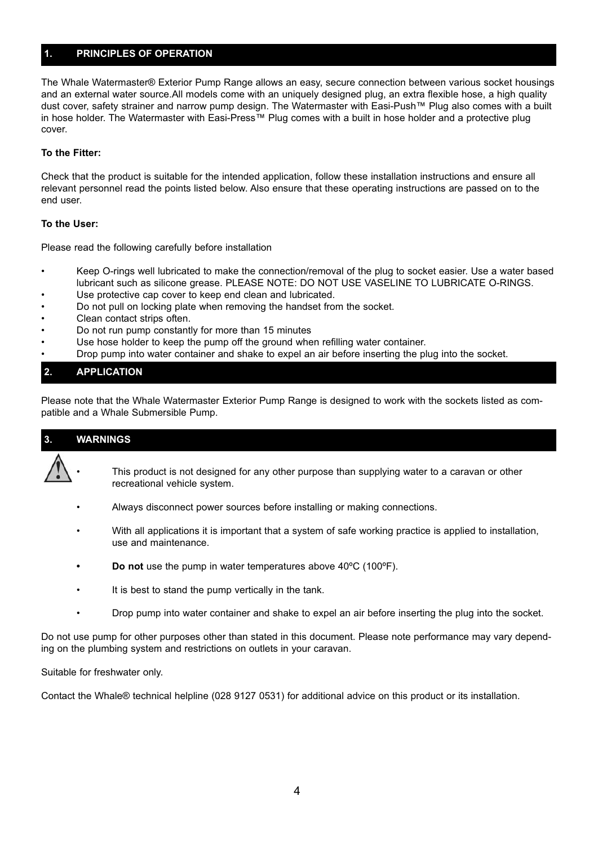# **1. PRINCIPLES OF OPERATION**

The Whale Watermaster® Exterior Pump Range allows an easy, secure connection between various socket housings and an external water source.All models come with an uniquely designed plug, an extra flexible hose, a high quality dust cover, safety strainer and narrow pump design. The Watermaster with Easi-Push™ Plug also comes with a built in hose holder. The Watermaster with Easi-Press™ Plug comes with a built in hose holder and a protective plug cover.

#### **To the Fitter:**

Check that the product is suitable for the intended application, follow these installation instructions and ensure all relevant personnel read the points listed below. Also ensure that these operating instructions are passed on to the end user.

#### **To the User:**

Please read the following carefully before installation

- Keep O-rings well lubricated to make the connection/removal of the plug to socket easier. Use a water based lubricant such as silicone grease. PLEASE NOTE: DO NOT USE VASELINE TO LUBRICATE O-RINGS.
- Use protective cap cover to keep end clean and lubricated.
- Do not pull on locking plate when removing the handset from the socket.
- Clean contact strips often.
- Do not run pump constantly for more than 15 minutes
- Use hose holder to keep the pump off the ground when refilling water container.
- Drop pump into water container and shake to expel an air before inserting the plug into the socket.

# **2. APPLICATION**

Please note that the Whale Watermaster Exterior Pump Range is designed to work with the sockets listed as compatible and a Whale Submersible Pump.

# **3. WARNINGS**

- This product is not designed for any other purpose than supplying water to a caravan or other recreational vehicle system.
	- Always disconnect power sources before installing or making connections.
	- With all applications it is important that a system of safe working practice is applied to installation, use and maintenance.
	- **Do not** use the pump in water temperatures above 40ºC (100ºF).
	- It is best to stand the pump vertically in the tank.
	- Drop pump into water container and shake to expel an air before inserting the plug into the socket.

Do not use pump for other purposes other than stated in this document. Please note performance may vary depending on the plumbing system and restrictions on outlets in your caravan.

Suitable for freshwater only.

Contact the Whale® technical helpline (028 9127 0531) for additional advice on this product or its installation.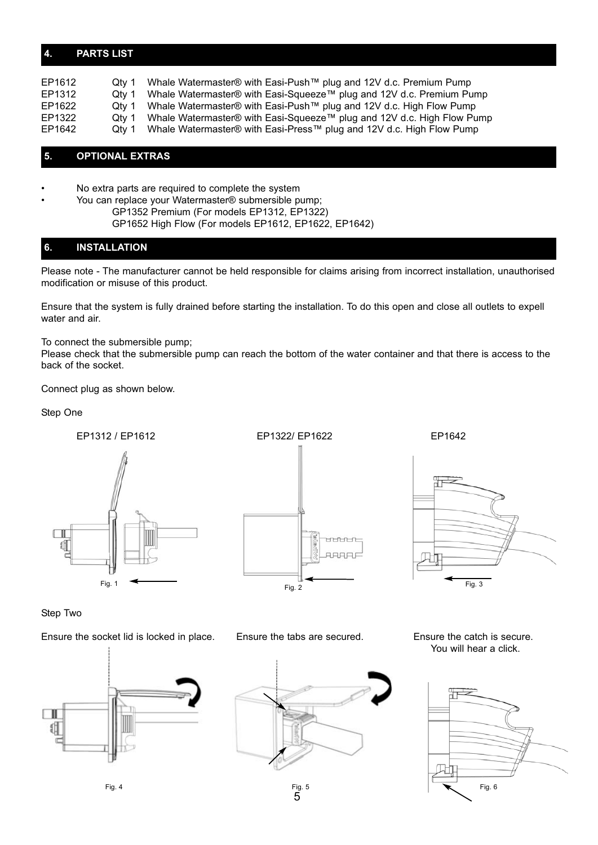# **4. PARTS LIST**

| EP1612 | Otv 1 | Whale Watermaster® with Easi-Push™ plug and 12V d.c. Premium Pump      |
|--------|-------|------------------------------------------------------------------------|
| EP1312 | Qtv 1 | Whale Watermaster® with Easi-Squeeze™ plug and 12V d.c. Premium Pump   |
| EP1622 | Otv 1 | Whale Watermaster® with Easi-Push™ plug and 12V d.c. High Flow Pump    |
| EP1322 | Otv 1 | Whale Watermaster® with Easi-Squeeze™ plug and 12V d.c. High Flow Pump |
| EP1642 | Otv 1 | Whale Watermaster® with Easi-Press™ plug and 12V d.c. High Flow Pump   |

# **5. OPTIONAL EXTRAS**

• No extra parts are required to complete the system

• You can replace your Watermaster® submersible pump; GP1352 Premium (For models EP1312, EP1322) GP1652 High Flow (For models EP1612, EP1622, EP1642)

# **6. INSTALLATION**

Please note - The manufacturer cannot be held responsible for claims arising from incorrect installation, unauthorised modification or misuse of this product.

Ensure that the system is fully drained before starting the installation. To do this open and close all outlets to expell water and air.

To connect the submersible pump;

Please check that the submersible pump can reach the bottom of the water container and that there is access to the back of the socket.

Connect plug as shown below.

Step One



mnn **LARR** 



Step Two

Ensure the socket lid is locked in place. Ensure the tabs are secured. Ensure the catch is secure.





Fig.  $5\overline{5}$ 

You will hear a click.

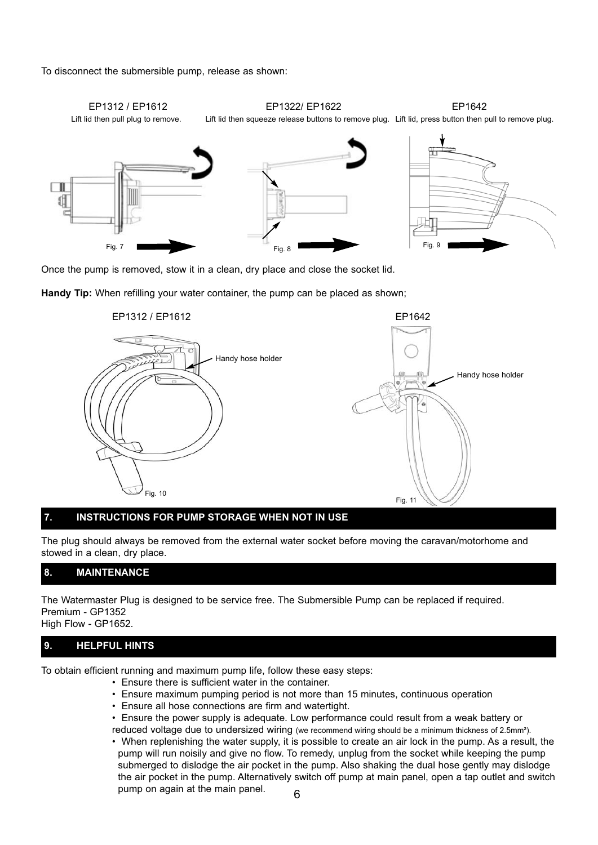To disconnect the submersible pump, release as shown:



Once the pump is removed, stow it in a clean, dry place and close the socket lid.

**Handy Tip:** When refilling your water container, the pump can be placed as shown;



#### **7. INSTRUCTIONS FOR PUMP STORAGE WHEN NOT IN USE**

The plug should always be removed from the external water socket before moving the caravan/motorhome and stowed in a clean, dry place.

# **8. MAINTENANCE**

The Watermaster Plug is designed to be service free. The Submersible Pump can be replaced if required. Premium - GP1352 High Flow - GP1652.

# **9. HELPFUL HINTS**

To obtain efficient running and maximum pump life, follow these easy steps:

- Ensure there is sufficient water in the container.
- Ensure maximum pumping period is not more than 15 minutes, continuous operation
- Ensure all hose connections are firm and watertight.
- Ensure the power supply is adequate. Low performance could result from a weak battery or
- reduced voltage due to undersized wiring (we recommend wiring should be a minimum thickness of 2.5mm<sup>2</sup>). • When replenishing the water supply, it is possible to create an air lock in the pump. As a result, the
- pump will run noisily and give no flow. To remedy, unplug from the socket while keeping the pump submerged to dislodge the air pocket in the pump. Also shaking the dual hose gently may dislodge the air pocket in the pump. Alternatively switch off pump at main panel, open a tap outlet and switch pump on again at the main panel.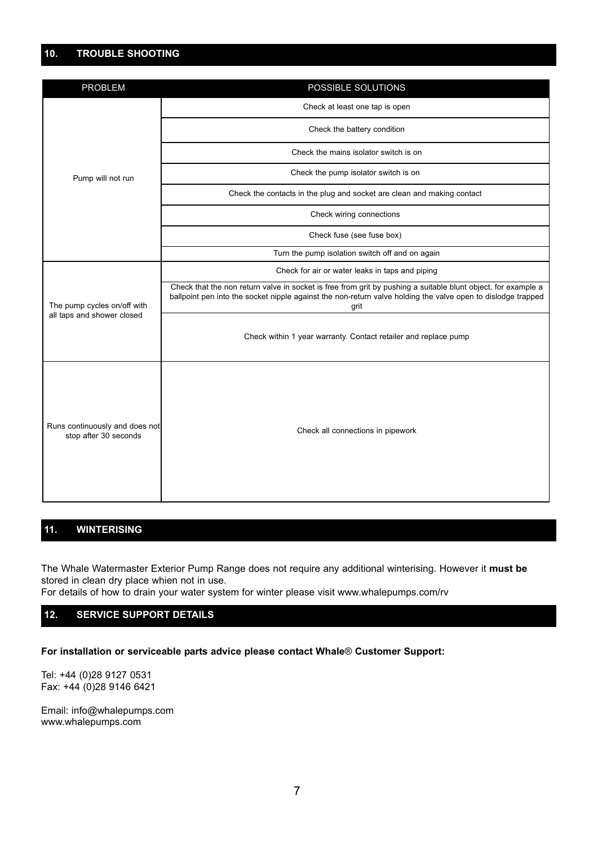# **10. TROUBLE SHOOTING**

| <b>PROBLEM</b>                                            | POSSIBLE SOLUTIONS                                                                                                                                                                                                                    |  |
|-----------------------------------------------------------|---------------------------------------------------------------------------------------------------------------------------------------------------------------------------------------------------------------------------------------|--|
| Pump will not run                                         | Check at least one tap is open                                                                                                                                                                                                        |  |
|                                                           | Check the battery condition                                                                                                                                                                                                           |  |
|                                                           | Check the mains isolator switch is on                                                                                                                                                                                                 |  |
|                                                           | Check the pump isolator switch is on                                                                                                                                                                                                  |  |
|                                                           | Check the contacts in the plug and socket are clean and making contact                                                                                                                                                                |  |
|                                                           | Check wiring connections                                                                                                                                                                                                              |  |
|                                                           | Check fuse (see fuse box)                                                                                                                                                                                                             |  |
|                                                           | Turn the pump isolation switch off and on again                                                                                                                                                                                       |  |
| The pump cycles on/off with<br>all taps and shower closed | Check for air or water leaks in taps and piping                                                                                                                                                                                       |  |
|                                                           | Check that the non return valve in socket is free from grit by pushing a suitable blunt object, for example a<br>ballpoint pen into the socket nipple against the non-return valve holding the valve open to dislodge trapped<br>grit |  |
|                                                           | Check within 1 year warranty. Contact retailer and replace pump                                                                                                                                                                       |  |
| Runs continuously and does not<br>stop after 30 seconds   | Check all connections in pipework                                                                                                                                                                                                     |  |

# **11. WINTERISING**

The Whale Watermaster Exterior Pump Range does not require any additional winterising. However it **must be** stored in clean dry place whien not in use.

For details of how to drain your water system for winter please visit www.whalepumps.com/rv

# **12. SERVICE SUPPORT DETAILS**

**For installation or serviceable parts advice please contact Whale**® **Customer Support:**

Tel: +44 (0)28 9127 0531 Fax: +44 (0)28 9146 6421

Email: info@whalepumps.com www.whalepumps.com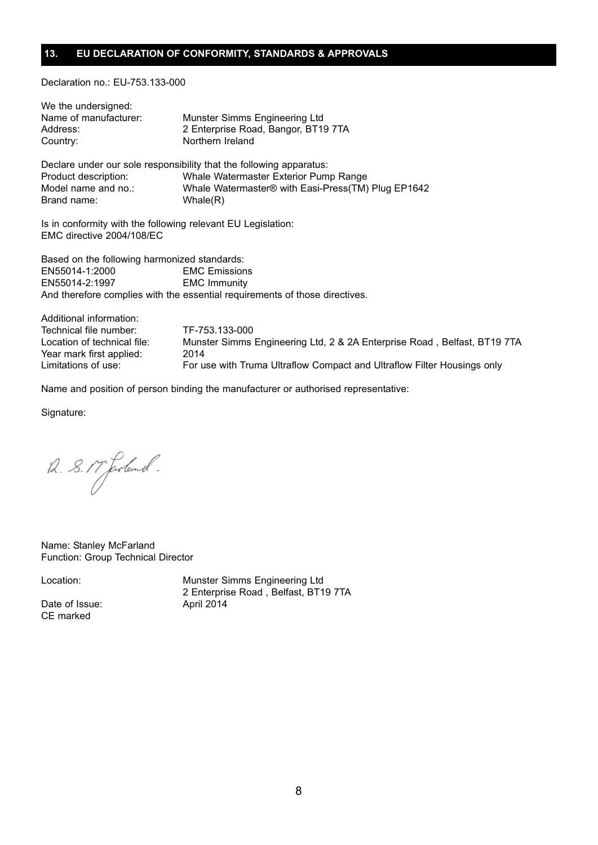#### **13. EU DECLARATION OF CONFORMITY, STANDARDS & APPROVALS**

Declaration no.: EU-753.133-000

| We the undersigned:                                          |                                                                     |  |
|--------------------------------------------------------------|---------------------------------------------------------------------|--|
| Name of manufacturer:                                        | Munster Simms Engineering Ltd                                       |  |
| Address:                                                     | 2 Enterprise Road, Bangor, BT19 7TA                                 |  |
| Country:                                                     | Northern Ireland                                                    |  |
|                                                              | Declare under our sole responsibility that the following apparatus: |  |
| Product description:                                         | Whale Watermaster Exterior Pump Range                               |  |
| Model name and no.:                                          | Whale Watermaster® with Easi-Press(TM) Plug EP1642                  |  |
| Brand name:                                                  | Whale(R)                                                            |  |
| Is in conformity with the following relevant EU Legislation: |                                                                     |  |

EMC directive 2004/108/EC

Based on the following harmonized standards: EN55014-1:2000 EMC Emissions EN55014-2:1997 EMC Immunity And therefore complies with the essential requirements of those directives.

Additional information: Technical file number: TF-753.133-000 Location of technical file: Munster Simms Engineering Ltd, 2 & 2A Enterprise Road, Belfast, BT19 7TA Year mark first applied: 2014 Limitations of use: For use with Truma Ultraflow Compact and Ultraflow Filter Housings only

Name and position of person binding the manufacturer or authorised representative:

Signature:

12. 8. 17 Josland.

Name: Stanley McFarland Function: Group Technical Director

Date of Issue: April 2014 CE marked

Location: Munster Simms Engineering Ltd 2 Enterprise Road , Belfast, BT19 7TA